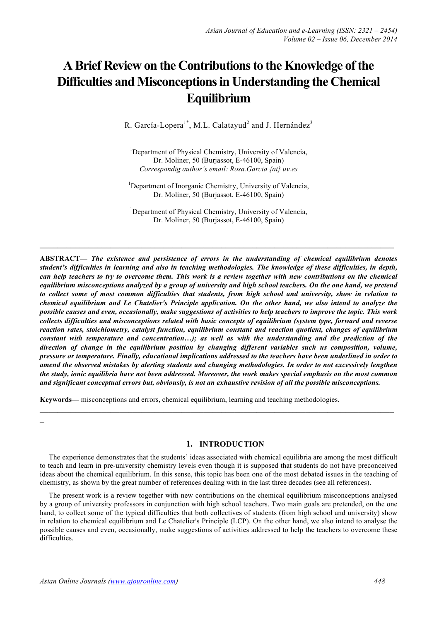# **A Brief Review on the Contributionsto the Knowledge ofthe Difficulties and Misconceptions in Understanding the Chemical Equilibrium**

R. García-Lopera<sup>1\*</sup>, M.L. Calatayud<sup>2</sup> and J. Hernández<sup>3</sup>

<sup>1</sup>Department of Physical Chemistry, University of Valencia, Dr. Moliner, 50 (Burjassot, E-46100, Spain) *Correspondig author's email: Rosa.Garcia {at} uv.es*

<sup>1</sup>Department of Inorganic Chemistry, University of Valencia, Dr. Moliner, 50 (Burjassot, E-46100, Spain)

<sup>1</sup>Department of Physical Chemistry, University of Valencia, Dr. Moliner, 50 (Burjassot, E-46100, Spain)

**\_\_\_\_\_\_\_\_\_\_\_\_\_\_\_\_\_\_\_\_\_\_\_\_\_\_\_\_\_\_\_\_\_\_\_\_\_\_\_\_\_\_\_\_\_\_\_\_\_\_\_\_\_\_\_\_\_\_\_\_\_\_\_\_\_\_\_\_\_\_\_\_\_\_\_\_\_\_\_\_**

**ABSTRACT—** *The existence and persistence of errors in the understanding of chemical equilibrium denotes student's difficulties in learning and also in teaching methodologies. The knowledge of these difficulties, in depth, can help teachers to try to overcome them. This work is a review together with new contributions on the chemical equilibrium misconceptions analyzed by a group of university and high school teachers. On the one hand, we pretend to collect some of most common difficulties that students, from high school and university, show in relation to chemical equilibrium and Le Chatelier's Principle application. On the other hand, we also intend to analyze the possible causes and even, occasionally, make suggestions of activities to help teachers to improve the topic. This work collects difficulties and misconceptions related with basic concepts of equilibrium (system type, forward and reverse reaction rates, stoichiometry, catalyst function, equilibrium constant and reaction quotient, changes of equilibrium constant with temperature and concentration…); as well as with the understanding and the prediction of the direction of change in the equilibrium position by changing different variables such us composition, volume, pressure or temperature. Finally, educational implications addressed to the teachers have been underlined in order to amend the observed mistakes by alerting students and changing methodologies. In order to not excessively lengthen the study, ionic equilibria have not been addressed. Moreover, the work makes special emphasis on the most common and significant conceptual errors but, obviously, is not an exhaustive revision of all the possible misconceptions.*

**Keywords—** misconceptions and errors, chemical equilibrium, learning and teaching methodologies.

**1. INTRODUCTION**

**\_\_\_\_\_\_\_\_\_\_\_\_\_\_\_\_\_\_\_\_\_\_\_\_\_\_\_\_\_\_\_\_\_\_\_\_\_\_\_\_\_\_\_\_\_\_\_\_\_\_\_\_\_\_\_\_\_\_\_\_\_\_\_\_\_\_\_\_\_\_\_\_\_\_\_\_\_\_\_\_**

The experience demonstrates that the students' ideas associated with chemical equilibria are among the most difficult to teach and learn in pre-university chemistry levels even though it is supposed that students do not have preconceived ideas about the chemical equilibrium. In this sense, this topic has been one of the most debated issues in the teaching of chemistry, as shown by the great number of references dealing with in the last three decades (see all references).

The present work is a review together with new contributions on the chemical equilibrium misconceptions analysed by a group of university professors in conjunction with high school teachers. Two main goals are pretended, on the one hand, to collect some of the typical difficulties that both collectives of students (from high school and university) show in relation to chemical equilibrium and Le Chatelier's Principle (LCP). On the other hand, we also intend to analyse the possible causes and even, occasionally, make suggestions of activities addressed to help the teachers to overcome these difficulties.

**\_**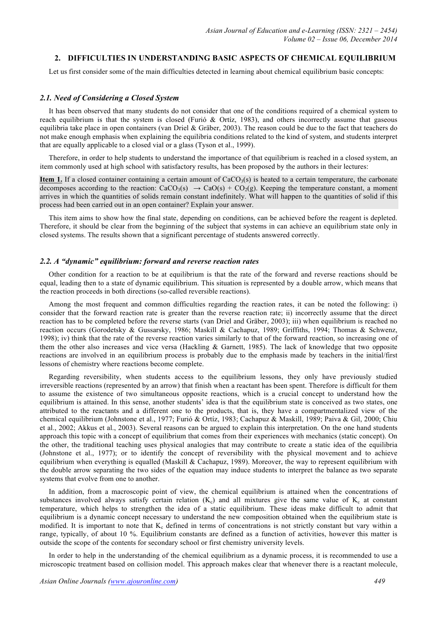## **2. DIFFICULTIES IN UNDERSTANDING BASIC ASPECTS OF CHEMICAL EQUILIBRIUM**

Let us first consider some of the main difficulties detected in learning about chemical equilibrium basic concepts:

## *2.1. Need of Considering a Closed System*

It has been observed that many students do not consider that one of the conditions required of a chemical system to reach equilibrium is that the system is closed (Furió & Ortíz, 1983), and others incorrectly assume that gaseous equilibria take place in open containers (van Driel & Gräber, 2003). The reason could be due to the fact that teachers do not make enough emphasis when explaining the equilibria conditions related to the kind of system, and students interpret that are equally applicable to a closed vial or a glass (Tyson et al., 1999).

Therefore, in order to help students to understand the importance of that equilibrium is reached in a closed system, an item commonly used at high school with satisfactory results, has been proposed by the authors in their lectures:

**Item 1.** If a closed container containing a certain amount of  $CaCO<sub>3</sub>(s)$  is heated to a certain temperature, the carbonate decomposes according to the reaction:  $CaCO<sub>3</sub>(s) \rightarrow CaO(s) + CO<sub>2</sub>(g)$ . Keeping the temperature constant, a moment arrives in which the quantities of solids remain constant indefinitely. What will happen to the quantities of solid if this process had been carried out in an open container? Explain your answer.

This item aims to show how the final state, depending on conditions, can be achieved before the reagent is depleted. Therefore, it should be clear from the beginning of the subject that systems in can achieve an equilibrium state only in closed systems. The results shown that a significant percentage of students answered correctly.

## *2.2. A "dynamic" equilibrium: forward and reverse reaction rates*

Other condition for a reaction to be at equilibrium is that the rate of the forward and reverse reactions should be equal, leading then to a state of dynamic equilibrium. This situation is represented by a double arrow, which means that the reaction proceeds in both directions (so-called reversible reactions).

Among the most frequent and common difficulties regarding the reaction rates, it can be noted the following: i) consider that the forward reaction rate is greater than the reverse reaction rate; ii) incorrectly assume that the direct reaction has to be completed before the reverse starts (van Driel and Gräber, 2003); iii) when equilibrium is reached no reaction occurs (Gorodetsky & Gussarsky, 1986; Maskill & Cachapuz, 1989; Griffiths, 1994; Thomas & Schwenz, 1998); iv) think that the rate of the reverse reaction varies similarly to that of the forward reaction, so increasing one of them the other also increases and vice versa (Hackling & Garnett, 1985). The lack of knowledge that two opposite reactions are involved in an equilibrium process is probably due to the emphasis made by teachers in the initial/first lessons of chemistry where reactions become complete.

Regarding reversibility, when students access to the equilibrium lessons, they only have previously studied irreversible reactions (represented by an arrow) that finish when a reactant has been spent. Therefore is difficult for them to assume the existence of two simultaneous opposite reactions, which is a crucial concept to understand how the equilibrium is attained. In this sense, another students' idea is that the equilibrium state is conceived as two states, one attributed to the reactants and a different one to the products, that is, they have a compartmentalized view of the chemical equilibrium (Johnstone et al., 1977; Furió & Ortíz, 1983; Cachapuz & Maskill, 1989; Paiva & Gil, 2000; Chiu et al., 2002; Akkus et al., 2003). Several reasons can be argued to explain this interpretation. On the one hand students approach this topic with a concept of equilibrium that comes from their experiences with mechanics (static concept). On the other, the traditional teaching uses physical analogies that may contribute to create a static idea of the equilibria (Johnstone et al., 1977); or to identify the concept of reversibility with the physical movement and to achieve equilibrium when everything is equalled (Maskill  $&$  Cachapuz, 1989). Moreover, the way to represent equilibrium with the double arrow separating the two sides of the equation may induce students to interpret the balance as two separate systems that evolve from one to another.

In addition, from a macroscopic point of view, the chemical equilibrium is attained when the concentrations of substances involved always satisfy certain relation  $(K_c)$  and all mixtures give the same value of  $K_c$  at constant temperature, which helps to strengthen the idea of a static equilibrium. These ideas make difficult to admit that equilibrium is a dynamic concept necessary to understand the new composition obtained when the equilibrium state is modified. It is important to note that  $K_c$  defined in terms of concentrations is not strictly constant but vary within a range, typically, of about 10 %. Equilibrium constants are defined as a function of activities, however this matter is outside the scope of the contents for secondary school or first chemistry university levels.

In order to help in the understanding of the chemical equilibrium as a dynamic process, it is recommended to use a microscopic treatment based on collision model. This approach makes clear that whenever there is a reactant molecule,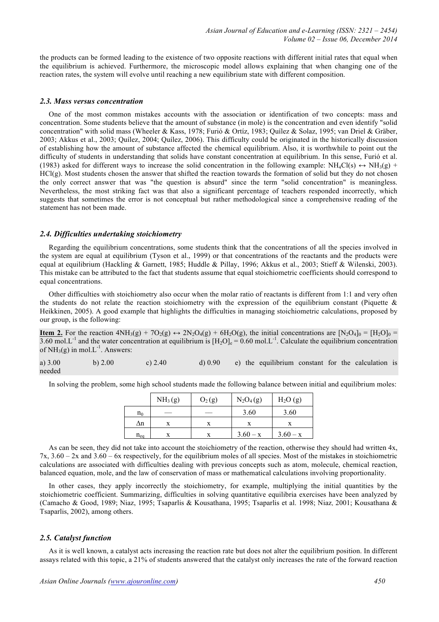the products can be formed leading to the existence of two opposite reactions with different initial rates that equal when the equilibrium is achieved. Furthermore, the microscopic model allows explaining that when changing one of the reaction rates, the system will evolve until reaching a new equilibrium state with different composition.

#### *2.3. Mass versus concentration*

One of the most common mistakes accounts with the association or identification of two concepts: mass and concentration. Some students believe that the amount of substance (in mole) is the concentration and even identify "solid concentration" with solid mass (Wheeler & Kass, 1978; Furió & Ortíz, 1983; Quílez & Solaz, 1995; van Driel & Gräber, 2003; Akkus et al., 2003; Quílez, 2004; Quílez, 2006). This difficulty could be originated in the historically discussion of establishing how the amount of substance affected the chemical equilibrium. Also, it is worthwhile to point out the difficulty of students in understanding that solids have constant concentration at equilibrium. In this sense, Furió et al. (1983) asked for different ways to increase the solid concentration in the following example:  $NH_4Cl(s) \leftrightarrow NH_3(g)$  + HCl(g). Most students chosen the answer that shifted the reaction towards the formation of solid but they do not chosen the only correct answer that was "the question is absurd" since the term "solid concentration" is meaningless. Nevertheless, the most striking fact was that also a significant percentage of teachers responded incorrectly, which suggests that sometimes the error is not conceptual but rather methodological since a comprehensive reading of the statement has not been made.

## *2.4. Difficulties undertaking stoichiometry*

Regarding the equilibrium concentrations, some students think that the concentrations of all the species involved in the system are equal at equilibrium (Tyson et al., 1999) or that concentrations of the reactants and the products were equal at equilibrium (Hackling & Garnett, 1985; Huddle & Pillay, 1996; Akkus et al., 2003; Stieff & Wilenski, 2003). This mistake can be attributed to the fact that students assume that equal stoichiometric coefficients should correspond to equal concentrations.

Other difficulties with stoichiometry also occur when the molar ratio of reactants is different from 1:1 and very often the students do not relate the reaction stoichiometry with the expression of the equilibrium constant (Piquette  $\&$ Heikkinen, 2005). A good example that highlights the difficulties in managing stoichiometric calculations, proposed by our group, is the following:

**Item 2.** For the reaction  $4NH_3(g) + 7O_2(g) \leftrightarrow 2N_2O_4(g) + 6H_2O(g)$ , the initial concentrations are  $[N_2O_4]_0 = [H_2O]_0 =$  $3.60 \text{ mol.L}^{-1}$  and the water concentration at equilibrium is  $[H_2O]_e = 0.60 \text{ mol.L}^{-1}$ . Calculate the equilibrium concentration of  $NH<sub>3</sub>(g)$  in mol.L<sup>-1</sup>. Answers:

a)  $3.00$  b)  $2.00$  c)  $2.40$  d)  $0.90$  e) the equilibrium constant for the calculation is needed

In solving the problem, some high school students made the following balance between initial and equilibrium moles:

|          | NH <sub>3</sub> (g) | $O_2(g)$ | $N_2O_4(g)$ | H <sub>2</sub> O(g) |
|----------|---------------------|----------|-------------|---------------------|
| $n_0$    |                     |          | 3.60        | 3.60                |
| Δn       |                     |          |             |                     |
| $n_{eq}$ |                     |          | $3.60 - x$  | $3.60 - x$          |

As can be seen, they did not take into account the stoichiometry of the reaction, otherwise they should had written 4x, 7x, 3.60 – 2x and 3.60 – 6x respectively, for the equilibrium moles of all species. Most of the mistakes in stoichiometric calculations are associated with difficulties dealing with previous concepts such as atom, molecule, chemical reaction, balanced equation, mole, and the law of conservation of mass or mathematical calculations involving proportionality.

In other cases, they apply incorrectly the stoichiometry, for example, multiplying the initial quantities by the stoichiometric coefficient. Summarizing, difficulties in solving quantitative equilibria exercises have been analyzed by (Camacho & Good, 1989; Niaz, 1995; Tsaparlis & Kousathana, 1995; Tsaparlis et al. 1998; Niaz, 2001; Kousathana & Tsaparlis, 2002), among others.

## *2.5. Catalyst function*

As it is well known, a catalyst acts increasing the reaction rate but does not alter the equilibrium position. In different assays related with this topic, a 21% of students answered that the catalyst only increases the rate of the forward reaction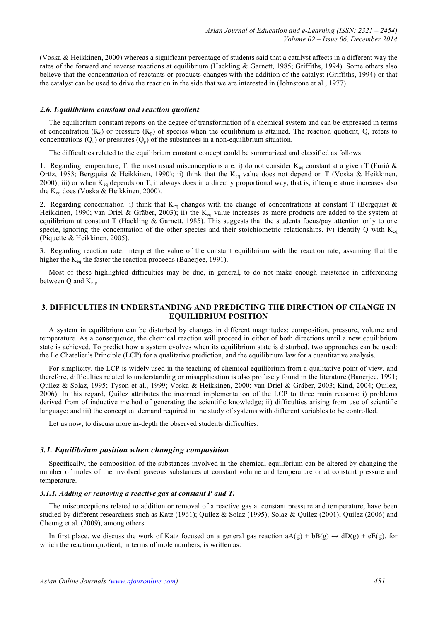(Voska & Heikkinen, 2000) whereas a significant percentage of students said that a catalyst affects in a different way the rates of the forward and reverse reactions at equilibrium (Hackling & Garnett, 1985; Griffiths, 1994). Some others also believe that the concentration of reactants or products changes with the addition of the catalyst (Griffiths, 1994) or that the catalyst can be used to drive the reaction in the side that we are interested in (Johnstone et al., 1977).

#### *2.6. Equilibrium constant and reaction quotient*

The equilibrium constant reports on the degree of transformation of a chemical system and can be expressed in terms of concentration  $(K_c)$  or pressure  $(K_p)$  of species when the equilibrium is attained. The reaction quotient, Q, refers to concentrations  $(Q_c)$  or pressures  $(Q_p)$  of the substances in a non-equilibrium situation.

The difficulties related to the equilibrium constant concept could be summarized and classified as follows:

1. Regarding temperature, T, the most usual misconceptions are: i) do not consider  $K_{eq}$  constant at a given T (Furió & Ortíz, 1983; Bergquist & Heikkinen, 1990); ii) think that the K<sub>eq</sub> value does not depend on T (Voska & Heikkinen, 2000); iii) or when  $K_{eq}$  depends on T, it always does in a directly proportional way, that is, if temperature increases also the K<sub>eq</sub> does (Voska & Heikkinen, 2000).

2. Regarding concentration: i) think that  $K_{eq}$  changes with the change of concentrations at constant T (Bergquist & Heikkinen, 1990; van Driel & Gräber, 2003); ii) the K<sub>eq</sub> value increases as more products are added to the system at equilibrium at constant T (Hackling & Garnett, 1985). This suggests that the students focus/pay attention only to one specie, ignoring the concentration of the other species and their stoichiometric relationships. iv) identify Q with  $K_{eq}$ (Piquette & Heikkinen, 2005).

3. Regarding reaction rate: interpret the value of the constant equilibrium with the reaction rate, assuming that the higher the  $K_{eq}$  the faster the reaction proceeds (Banerjee, 1991).

Most of these highlighted difficulties may be due, in general, to do not make enough insistence in differencing between  $Q$  and  $K_{eq}$ .

## **3. DIFFICULTIES IN UNDERSTANDING AND PREDICTING THE DIRECTION OF CHANGE IN EQUILIBRIUM POSITION**

A system in equilibrium can be disturbed by changes in different magnitudes: composition, pressure, volume and temperature. As a consequence, the chemical reaction will proceed in either of both directions until a new equilibrium state is achieved. To predict how a system evolves when its equilibrium state is disturbed, two approaches can be used: the Le Chatelier's Principle (LCP) for a qualitative prediction, and the equilibrium law for a quantitative analysis.

For simplicity, the LCP is widely used in the teaching of chemical equilibrium from a qualitative point of view, and therefore, difficulties related to understanding or misapplication is also profusely found in the literature (Banerjee, 1991; Quílez & Solaz, 1995; Tyson et al., 1999; Voska & Heikkinen, 2000; van Driel & Gräber, 2003; Kind, 2004; Quílez, 2006). In this regard, Quílez attributes the incorrect implementation of the LCP to three main reasons: i) problems derived from of inductive method of generating the scientific knowledge; ii) difficulties arising from use of scientific language; and iii) the conceptual demand required in the study of systems with different variables to be controlled.

Let us now, to discuss more in-depth the observed students difficulties.

## *3.1. Equilibrium position when changing composition*

Specifically, the composition of the substances involved in the chemical equilibrium can be altered by changing the number of moles of the involved gaseous substances at constant volume and temperature or at constant pressure and temperature.

#### *3.1.1. Adding or removing a reactive gas at constant P and T.*

The misconceptions related to addition or removal of a reactive gas at constant pressure and temperature, have been studied by different researchers such as Katz (1961); Quílez & Solaz (1995); Solaz & Quílez (2001); Quílez (2006) and Cheung et al. (2009), among others.

In first place, we discuss the work of Katz focused on a general gas reaction  $aA(g) + bB(g) \leftrightarrow dD(g) + eE(g)$ , for which the reaction quotient, in terms of mole numbers, is written as: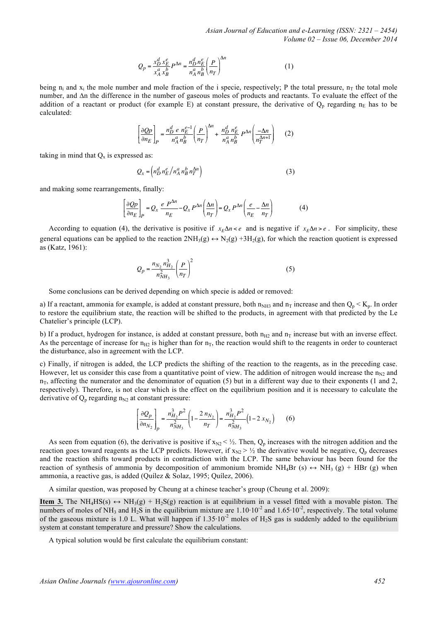$$
Q_p = \frac{x_D^d x_E^e}{x_A^a x_B^b} P^{\Delta n} = \frac{n_D^d n_E^e}{n_A^a n_B^b} \left(\frac{P}{n_T}\right)^{\Delta n}
$$
 (1)

being n<sub>i</sub> and x<sub>i</sub> the mole number and mole fraction of the i specie, respectively; P the total pressure,  $n<sub>T</sub>$  the total mole number, and ∆n the difference in the number of gaseous moles of products and reactants. To evaluate the effect of the addition of a reactant or product (for example E) at constant pressure, the derivative of  $Q_p$  regarding  $n_E$  has to be calculated:

$$
\left[\frac{\partial Qp}{\partial n_E}\right]_P = \frac{n_D^d \, e \, n_E^{e-1}}{n_A^a \, n_B^b} \left(\frac{P}{n_T}\right)^{\Delta n} + \frac{n_D^d \, n_E^e}{n_A^a \, n_B^b} \, P^{\Delta n} \left(\frac{-\Delta n}{n_T^{\Delta n+1}}\right) \tag{2}
$$

taking in mind that  $Q_x$  is expressed as:

$$
Q_x = \left( n_D^d \, n_E^e / n_A^a \, n_B^b \, n_T^{\Delta n} \right) \tag{3}
$$

and making some rearrangements, finally:

$$
\left[\frac{\partial Qp}{\partial n_E}\right]_P = Q_x \frac{e P^{\Delta n}}{n_E} - Q_x P^{\Delta n} \left(\frac{\Delta n}{n_T}\right) = Q_x P^{\Delta n} \left(\frac{e}{n_E} - \frac{\Delta n}{n_T}\right) \tag{4}
$$

According to equation (4), the derivative is positive if  $x<sub>E</sub> \Delta n < e$  and is negative if  $x<sub>E</sub> \Delta n > e$ . For simplicity, these general equations can be applied to the reaction  $2NH_3(g) \leftrightarrow N_2(g) + 3H_2(g)$ , for which the reaction quotient is expressed as (Katz, 1961):

$$
Q_p = \frac{n_{N_2} n_{H_2}^3}{n_{NH_3}^2} \left(\frac{P}{n_T}\right)^2
$$
 (5)

Some conclusions can be derived depending on which specie is added or removed:

a) If a reactant, ammonia for example, is added at constant pressure, both  $n_{NH3}$  and  $n_T$  increase and then  $Q_p < K_p$ . In order to restore the equilibrium state, the reaction will be shifted to the products, in agreement with that predicted by the Le Chatelier's principle (LCP).

b) If a product, hydrogen for instance, is added at constant pressure, both  $n_{H2}$  and  $n_T$  increase but with an inverse effect. As the percentage of increase for  $n_{H2}$  is higher than for  $n_T$ , the reaction would shift to the reagents in order to counteract the disturbance, also in agreement with the LCP.

c) Finally, if nitrogen is added, the LCP predicts the shifting of the reaction to the reagents, as in the preceding case. However, let us consider this case from a quantitative point of view. The addition of nitrogen would increase the  $n_{N2}$  and  $n<sub>T</sub>$ , affecting the numerator and the denominator of equation (5) but in a different way due to their exponents (1 and 2, respectively). Therefore, is not clear which is the effect on the equilibrium position and it is necessary to calculate the derivative of  $Q_p$  regarding  $n_{N2}$  at constant pressure:

$$
\left[\frac{\partial Q_p}{\partial n_{N_2}}\right]_p = \frac{n_{H_2}^3 P^2}{n_{NH_3}^2} \left(1 - \frac{2 n_{N_2}}{n_T}\right) = \frac{n_{H_2}^3 P^2}{n_{NH_3}^2} \left(1 - 2 x_{N_2}\right) \tag{6}
$$

As seen from equation (6), the derivative is positive if  $x_{N2} < \frac{1}{2}$ . Then,  $Q_p$  increases with the nitrogen addition and the reaction goes toward reagents as the LCP predicts. However, if  $x_{N2} > \frac{1}{2}$  the derivative would be negative,  $Q_p$  decreases and the reaction shifts toward products in contradiction with the LCP. The same behaviour has been found for the reaction of synthesis of ammonia by decomposition of ammonium bromide NH<sub>4</sub>Br (s)  $\leftrightarrow$  NH<sub>3</sub> (g) + HBr (g) when ammonia, a reactive gas, is added (Quílez & Solaz, 1995; Quílez, 2006).

A similar question, was proposed by Cheung at a chinese teacher's group (Cheung et al. 2009):

**Item 3.** The NH<sub>4</sub>HS(s)  $\leftrightarrow$  NH<sub>3</sub>(g) + H<sub>2</sub>S(g) reaction is at equilibrium in a vessel fitted with a movable piston. The numbers of moles of NH<sub>3</sub> and H<sub>2</sub>S in the equilibrium mixture are  $1.10 \cdot 10^{-2}$  and  $1.65 \cdot 10^{-2}$ , respectively. The total volume of the gaseous mixture is 1.0 L. What will happen if  $1.35 \cdot 10^{-2}$  moles of H<sub>2</sub>S gas is suddenly added to the equilibrium system at constant temperature and pressure? Show the calculations.

A typical solution would be first calculate the equilibrium constant: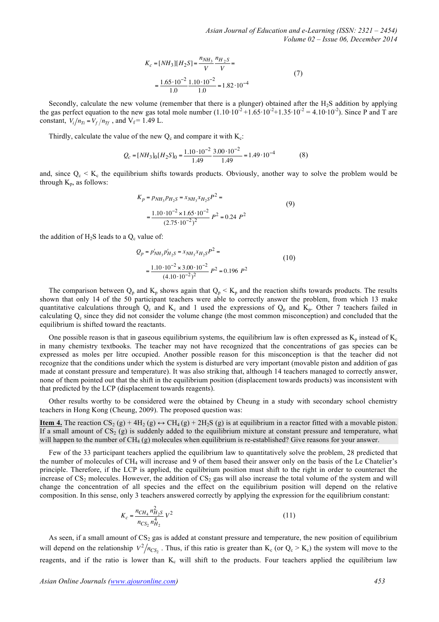$$
K_c = [NH_3][H_2S] = \frac{n_{NH_3}}{V} \frac{n_{H_2S}}{V} =
$$
  
= 
$$
\frac{1.65 \cdot 10^{-2}}{1.0} \frac{1.10 \cdot 10^{-2}}{1.0} = 1.82 \cdot 10^{-4}
$$
 (7)

Secondly, calculate the new volume (remember that there is a plunger) obtained after the  $H_2S$  addition by applying the gas perfect equation to the new gas total mole number  $(1.10 \cdot 10^{-2} + 1.65 \cdot 10^{-2} + 1.35 \cdot 10^{-2} = 4.10 \cdot 10^{-2})$ . Since P and T are constant,  $V_i/n_{Ti} = V_f/n_{Tf}$ , and  $V_f = 1.49$  L.

Thirdly, calculate the value of the new  $Q_c$  and compare it with  $K_c$ :

$$
Q_c = [NH_3]_0[H_2S]_0 = \frac{1.10 \cdot 10^{-2}}{1.49} \frac{3.00 \cdot 10^{-2}}{1.49} = 1.49 \cdot 10^{-4}
$$
 (8)

and, since  $Q_c \le K_c$  the equilibrium shifts towards products. Obviously, another way to solve the problem would be through  $K_p$ , as follows:

$$
K_p = p_{NH_3} p_{H_2S} = x_{NH_3} x_{H_2S} P^2 =
$$
  
= 
$$
\frac{1.10 \cdot 10^{-2} \times 1.65 \cdot 10^{-2}}{(2.75 \cdot 10^{-2})^2} P^2 = 0.24 P^2
$$
 (9)

the addition of  $H_2S$  leads to a  $Q_c$  value of:

$$
Q_p = p'_{NH_3}p'_{H_2S} = x_{NH_3}x_{H_2S}P^2 =
$$
  
= 
$$
\frac{1.10 \cdot 10^{-2} \times 3.00 \cdot 10^{-2}}{(4.10 \cdot 10^{-2})^2}P^2 = 0.196 P^2
$$
 (10)

The comparison between  $Q_p$  and  $K_p$  shows again that  $Q_p < K_p$  and the reaction shifts towards products. The results shown that only 14 of the 50 participant teachers were able to correctly answer the problem, from which 13 make quantitative calculations through  $Q_c$  and  $K_c$  and 1 used the expressions of  $Q_p$  and  $K_p$ . Other 7 teachers failed in calculating Qc since they did not consider the volume change (the most common misconception) and concluded that the equilibrium is shifted toward the reactants.

One possible reason is that in gaseous equilibrium systems, the equilibrium law is often expressed as  $K_p$  instead of  $K_c$ in many chemistry textbooks. The teacher may not have recognized that the concentrations of gas species can be expressed as moles per litre occupied. Another possible reason for this misconception is that the teacher did not recognize that the conditions under which the system is disturbed are very important (movable piston and addition of gas made at constant pressure and temperature). It was also striking that, although 14 teachers managed to correctly answer, none of them pointed out that the shift in the equilibrium position (displacement towards products) was inconsistent with that predicted by the LCP (displacement towards reagents).

Other results worthy to be considered were the obtained by Cheung in a study with secondary school chemistry teachers in Hong Kong (Cheung, 2009). The proposed question was:

**<u>Item 4.**</u> The reaction  $CS_2(g) + 4H_2(g) \leftrightarrow CH_4(g) + 2H_2S(g)$  is at equilibrium in a reactor fitted with a movable piston. If a small amount of  $CS_2$  (g) is suddenly added to the equilibrium mixture at constant pressure and temperature, what will happen to the number of  $CH_4(g)$  molecules when equilibrium is re-established? Give reasons for your answer.

Few of the 33 participant teachers applied the equilibrium law to quantitatively solve the problem, 28 predicted that the number of molecules of CH4 will increase and 9 of them based their answer only on the basis of the Le Chatelier's principle. Therefore, if the LCP is applied, the equilibrium position must shift to the right in order to counteract the increase of  $CS_2$  molecules. However, the addition of  $CS_2$  gas will also increase the total volume of the system and will change the concentration of all species and the effect on the equilibrium position will depend on the relative composition. In this sense, only 3 teachers answered correctly by applying the expression for the equilibrium constant:

$$
K_c = \frac{n_{CH_4} n_{H_2S}^2}{n_{CS_2} n_{H_2}^4} V^2
$$
\n(11)

As seen, if a small amount of  $CS_2$  gas is added at constant pressure and temperature, the new position of equilibrium will depend on the relationship  $V^2/n_{CS_2}$ . Thus, if this ratio is greater than K<sub>c</sub> (or  $Q_c > K_c$ ) the system will move to the reagents, and if the ratio is lower than  $K_c$  will shift to the products. Four teachers applied the equilibrium law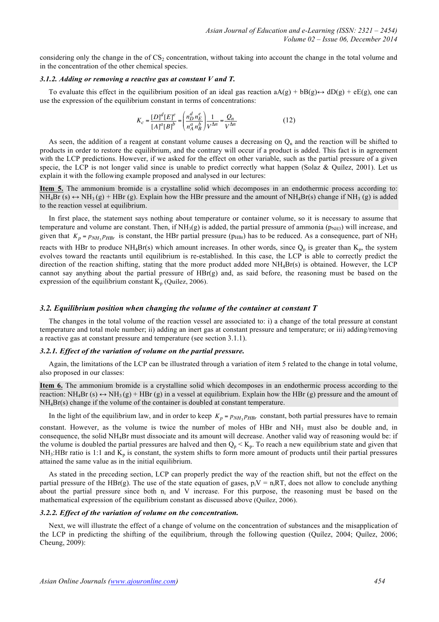considering only the change in the of  $CS<sub>2</sub>$  concentration, without taking into account the change in the total volume and in the concentration of the other chemical species.

#### *3.1.2. Adding or removing a reactive gas at constant V and T.*

To evaluate this effect in the equilibrium position of an ideal gas reaction  $A(g) + bB(g) \leftrightarrow dD(g) + eE(g)$ , one can use the expression of the equilibrium constant in terms of concentrations:

$$
K_c = \frac{[D]^d [E]^e}{[A]^a [B]^b} = \left(\frac{n_D^d n_E^e}{n_A^a n_B^b}\right) \frac{1}{V^{\Delta n}} = \frac{Q_n}{V^{\Delta n}}
$$
(12)

As seen, the addition of a reagent at constant volume causes a decreasing on  $Q_n$  and the reaction will be shifted to products in order to restore the equilibrium, and the contrary will occur if a product is added. This fact is in agreement with the LCP predictions. However, if we asked for the effect on other variable, such as the partial pressure of a given specie, the LCP is not longer valid since is unable to predict correctly what happen (Solaz & Quílez, 2001). Let us explain it with the following example proposed and analysed in our lectures:

**Item 5.** The ammonium bromide is a crystalline solid which decomposes in an endothermic process according to:  $NH<sub>4</sub>Br (s) \leftrightarrow NH<sub>3</sub>(g) + HBr (g)$ . Explain how the HBr pressure and the amount of  $NH<sub>4</sub>Br(s)$  change if  $NH<sub>3</sub>(g)$  is added to the reaction vessel at equilibrium.

In first place, the statement says nothing about temperature or container volume, so it is necessary to assume that temperature and volume are constant. Then, if  $NH<sub>3</sub>(g)$  is added, the partial pressure of ammonia ( $p<sub>NH3</sub>$ ) will increase, and given that  $K_p = p_{NH_3} p_{HBr}$  is constant, the HBr partial pressure ( $p_{HBr}$ ) has to be reduced. As a consequence, part of NH<sub>3</sub> reacts with HBr to produce NH<sub>4</sub>Br(s) which amount increases. In other words, since  $Q_p$  is greater than  $K_p$ , the system evolves toward the reactants until equilibrium is re-established. In this case, the LCP is able to correctly predict the direction of the reaction shifting, stating that the more product added more NH<sub>4</sub>Br(s) is obtained. However, the LCP cannot say anything about the partial pressure of HBr(g) and, as said before, the reasoning must be based on the expression of the equilibrium constant  $K_p$  (Quílez, 2006).

#### *3.2. Equilibrium position when changing the volume of the container at constant T*

The changes in the total volume of the reaction vessel are associated to: i) a change of the total pressure at constant temperature and total mole number; ii) adding an inert gas at constant pressure and temperature; or iii) adding/removing a reactive gas at constant pressure and temperature (see section 3.1.1).

## *3.2.1. Effect of the variation of volume on the partial pressure.*

Again, the limitations of the LCP can be illustrated through a variation of item 5 related to the change in total volume, also proposed in our classes:

**Item 6.** The ammonium bromide is a crystalline solid which decomposes in an endothermic process according to the reaction:  $NH_4Br$  (s)  $\leftrightarrow$   $NH_3(g)$  + HBr (g) in a vessel at equilibrium. Explain how the HBr (g) pressure and the amount of NH4Br(s) change if the volume of the container is doubled at constant temperature.

In the light of the equilibrium law, and in order to keep  $K_p = p_{NH_3} p_{HBr}$  constant, both partial pressures have to remain

constant. However, as the volume is twice the number of moles of HBr and  $NH_3$  must also be double and, in consequence, the solid NH4Br must dissociate and its amount will decrease. Another valid way of reasoning would be: if the volume is doubled the partial pressures are halved and then  $Q_p < K_p$ . To reach a new equilibrium state and given that  $NH<sub>3</sub>:HBr$  ratio is 1:1 and  $K<sub>p</sub>$  is constant, the system shifts to form more amount of products until their partial pressures attained the same value as in the initial equilibrium.

As stated in the preceding section, LCP can properly predict the way of the reaction shift, but not the effect on the partial pressure of the HBr(g). The use of the state equation of gases,  $p_iV = n_iRT$ , does not allow to conclude anything about the partial pressure since both ni and V increase. For this purpose, the reasoning must be based on the mathematical expression of the equilibrium constant as discussed above (Quílez, 2006).

#### *3.2.2. Effect of the variation of volume on the concentration.*

Next, we will illustrate the effect of a change of volume on the concentration of substances and the misapplication of the LCP in predicting the shifting of the equilibrium, through the following question (Quílez, 2004; Quílez, 2006; Cheung, 2009):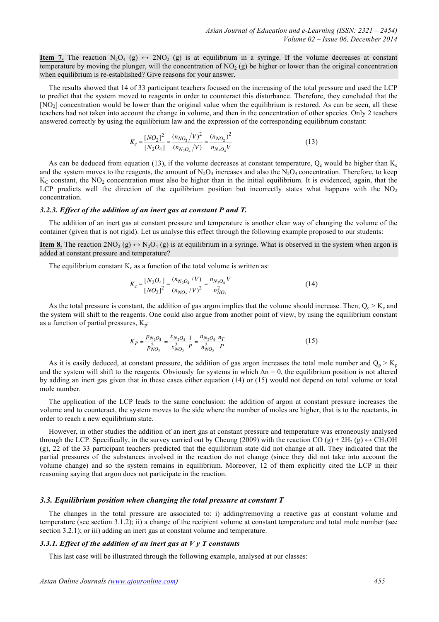**Item 7.** The reaction  $N_2O_4$  (g)  $\leftrightarrow$  2NO<sub>2</sub> (g) is at equilibrium in a syringe. If the volume decreases at constant temperature by moving the plunger, will the concentration of  $NO<sub>2</sub>(g)$  be higher or lower than the original concentration when equilibrium is re-established? Give reasons for your answer.

The results showed that 14 of 33 participant teachers focused on the increasing of the total pressure and used the LCP to predict that the system moved to reagents in order to counteract this disturbance. Therefore, they concluded that the [NO<sub>2</sub>] concentration would be lower than the original value when the equilibrium is restored. As can be seen, all these teachers had not taken into account the change in volume, and then in the concentration of other species. Only 2 teachers answered correctly by using the equilibrium law and the expression of the corresponding equilibrium constant:

$$
K_c = \frac{[NO_2]^2}{[N_2O_4]} = \frac{(n_{NO_2}/V)^2}{(n_{N_2O_4}/V)} = \frac{(n_{NO_2})^2}{n_{N_2O_4}V}
$$
(13)

As can be deduced from equation (13), if the volume decreases at constant temperature,  $Q_c$  would be higher than  $K_c$ and the system moves to the reagents, the amount of  $N_2O_4$  increases and also the  $N_2O_4$  concentration. Therefore, to keep  $K<sub>C</sub>$  constant, the NO<sub>2</sub> concentration must also be higher than in the initial equilibrium. It is evidenced, again, that the LCP predicts well the direction of the equilibrium position but incorrectly states what happens with the  $NO<sub>2</sub>$ concentration.

#### *3.2.3. Effect of the addition of an inert gas at constant P and T.*

The addition of an inert gas at constant pressure and temperature is another clear way of changing the volume of the container (given that is not rigid). Let us analyse this effect through the following example proposed to our students:

**Item 8.** The reaction  $2NO_2(g) \leftrightarrow N_2O_4(g)$  is at equilibrium in a syringe. What is observed in the system when argon is added at constant pressure and temperature?

The equilibrium constant  $K_c$  as a function of the total volume is written as:

$$
K_c = \frac{[N_2O_4]}{[NO_2]^2} = \frac{(n_{N_2O_4} / V)}{(n_{NO_2} / V)^2} = \frac{n_{N_2O_4} V}{n_{NO_2}^2}
$$
(14)

As the total pressure is constant, the addition of gas argon implies that the volume should increase. Then,  $Q_c > K_c$  and the system will shift to the reagents. One could also argue from another point of view, by using the equilibrium constant as a function of partial pressures,  $K_p$ :

$$
K_P = \frac{p_{N_2O_4}}{p_{NO_2}^2} = \frac{x_{N_2O_4}}{x_{NO_2}^2} \frac{1}{P} = \frac{n_{N_2O_4}}{n_{NO_2}^2} \frac{n_T}{P}
$$
(15)

As it is easily deduced, at constant pressure, the addition of gas argon increases the total mole number and  $Q_p > K_p$ and the system will shift to the reagents. Obviously for systems in which  $\Delta n = 0$ , the equilibrium position is not altered by adding an inert gas given that in these cases either equation (14) or (15) would not depend on total volume or total mole number.

The application of the LCP leads to the same conclusion: the addition of argon at constant pressure increases the volume and to counteract, the system moves to the side where the number of moles are higher, that is to the reactants, in order to reach a new equilibrium state.

However, in other studies the addition of an inert gas at constant pressure and temperature was erroneously analysed through the LCP. Specifically, in the survey carried out by Cheung (2009) with the reaction CO (g) +  $2H_2$  (g)  $\leftrightarrow$  CH<sub>3</sub>OH (g), 22 of the 33 participant teachers predicted that the equilibrium state did not change at all. They indicated that the partial pressures of the substances involved in the reaction do not change (since they did not take into account the volume change) and so the system remains in equilibrium. Moreover, 12 of them explicitly cited the LCP in their reasoning saying that argon does not participate in the reaction.

## *3.3. Equilibrium position when changing the total pressure at constant T*

The changes in the total pressure are associated to: i) adding/removing a reactive gas at constant volume and temperature (see section 3.1.2); ii) a change of the recipient volume at constant temperature and total mole number (see section 3.2.1); or iii) adding an inert gas at constant volume and temperature.

## *3.3.1. Effect of the addition of an inert gas at V y T constants*

This last case will be illustrated through the following example, analysed at our classes: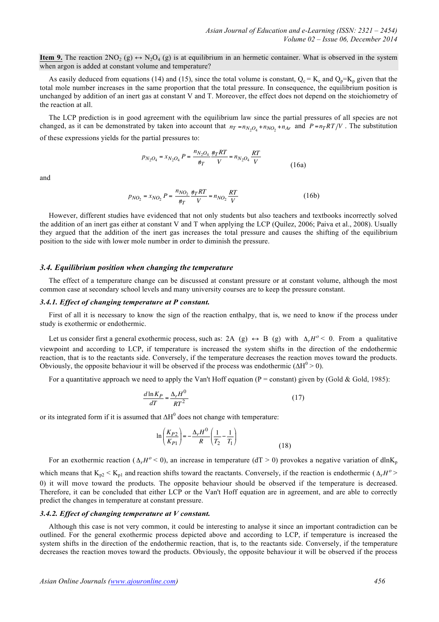**Item 9.** The reaction  $2NO_2(g) \leftrightarrow N_2O_4(g)$  is at equilibrium in an hermetic container. What is observed in the system when argon is added at constant volume and temperature?

As easily deduced from equations (14) and (15), since the total volume is constant,  $Q_c = K_c$  and  $Q_p = K_p$  given that the total mole number increases in the same proportion that the total pressure. In consequence, the equilibrium position is unchanged by addition of an inert gas at constant V and T. Moreover, the effect does not depend on the stoichiometry of the reaction at all.

The LCP prediction is in good agreement with the equilibrium law since the partial pressures of all species are not changed, as it can be demonstrated by taken into account that  $n_T = n_{N-0} + n_{NO} + n_{Ar}$  and  $P = n_T R T/V$ . The substitution of these expressions yields for the partial pressures to:

$$
p_{N_2O_4} = x_{N_2O_4} P = \frac{n_{N_2O_4}}{\eta_T} \frac{\eta_T RT}{V} = n_{N_2O_4} \frac{RT}{V}
$$
(16a)

and

$$
p_{NO_2} = x_{NO_2} P = \frac{n_{NO_2}}{\psi_T} \frac{\psi_T RT}{V} = n_{NO_2} \frac{RT}{V}
$$
 (16b)

However, different studies have evidenced that not only students but also teachers and textbooks incorrectly solved the addition of an inert gas either at constant V and T when applying the LCP (Quílez, 2006; Paiva et al., 2008). Usually they argued that the addition of the inert gas increases the total pressure and causes the shifting of the equilibrium position to the side with lower mole number in order to diminish the pressure.

## *3.4. Equilibrium position when changing the temperature*

The effect of a temperature change can be discussed at constant pressure or at constant volume, although the most common case at secondary school levels and many university courses are to keep the pressure constant.

## *3.4.1. Effect of changing temperature at P constant.*

First of all it is necessary to know the sign of the reaction enthalpy, that is, we need to know if the process under study is exothermic or endothermic.

Let us consider first a general exothermic process, such as: 2A (g)  $\leftrightarrow$  B (g) with  $\Delta_r H^o < 0$ . From a qualitative viewpoint and according to LCP, if temperature is increased the system shifts in the direction of the endothermic reaction, that is to the reactants side. Conversely, if the temperature decreases the reaction moves toward the products. Obviously, the opposite behaviour it will be observed if the process was endothermic ( $\Delta H^0 > 0$ ).

For a quantitative approach we need to apply the Van't Hoff equation (P = constant) given by (Gold & Gold, 1985):

$$
\frac{d\ln K_P}{dT} = \frac{\Delta_r H^0}{RT^2} \tag{17}
$$

or its integrated form if it is assumed that  $\Delta H^0$  does not change with temperature:

$$
\ln\left(\frac{K_{P2}}{K_{P1}}\right) = -\frac{\Delta_r H^0}{R} \left(\frac{1}{T_2} - \frac{1}{T_1}\right)
$$
\n(18)

For an exothermic reaction ( $\Delta_r H^o < 0$ ), an increase in temperature (dT > 0) provokes a negative variation of dlnK<sub>p</sub> which means that  $K_p \leq K_p$  and reaction shifts toward the reactants. Conversely, if the reaction is endothermic ( $\Delta_r H^o$ ) 0) it will move toward the products. The opposite behaviour should be observed if the temperature is decreased. Therefore, it can be concluded that either LCP or the Van't Hoff equation are in agreement, and are able to correctly predict the changes in temperature at constant pressure.

## *3.4.2. Effect of changing temperature at V constant.*

Although this case is not very common, it could be interesting to analyse it since an important contradiction can be outlined. For the general exothermic process depicted above and according to LCP, if temperature is increased the system shifts in the direction of the endothermic reaction, that is, to the reactants side. Conversely, if the temperature decreases the reaction moves toward the products. Obviously, the opposite behaviour it will be observed if the process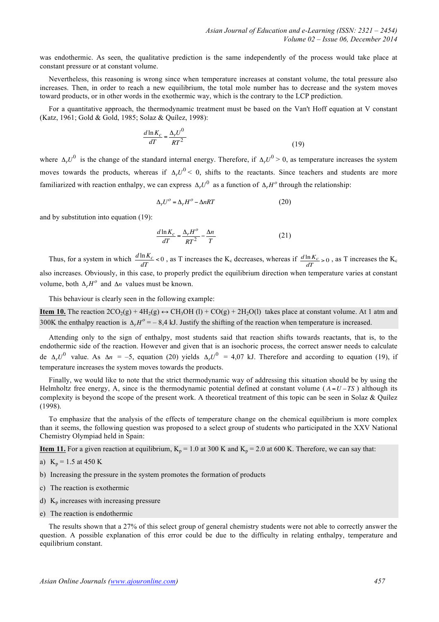was endothermic. As seen, the qualitative prediction is the same independently of the process would take place at constant pressure or at constant volume.

Nevertheless, this reasoning is wrong since when temperature increases at constant volume, the total pressure also increases. Then, in order to reach a new equilibrium, the total mole number has to decrease and the system moves toward products, or in other words in the exothermic way, which is the contrary to the LCP prediction.

For a quantitative approach, the thermodynamic treatment must be based on the Van't Hoff equation at V constant (Katz, 1961; Gold & Gold, 1985; Solaz & Quílez, 1998):

$$
\frac{d\ln K_c}{dT} = \frac{\Delta_r U^0}{RT^2} \tag{19}
$$

where  $\Delta_r U^0$  is the change of the standard internal energy. Therefore, if  $\Delta_r U^0 > 0$ , as temperature increases the system moves towards the products, whereas if  $\Delta_r U^0$  < 0, shifts to the reactants. Since teachers and students are more familiarized with reaction enthalpy, we can express  $\Delta_r U^0$  as a function of  $\Delta_r H^o$  through the relationship:

$$
\Delta_r U^o = \Delta_r H^o - \Delta nRT \tag{20}
$$

and by substitution into equation (19):

$$
\frac{d\ln K_c}{dT} = \frac{\Delta_r H^o}{RT^2} - \frac{\Delta n}{T}
$$
\n(21)

Thus, for a system in which  $\frac{d \ln K_c}{dT}$  < 0, as T increases the K<sub>c</sub> decreases, whereas if  $\frac{d \ln K_c}{dT}$  > 0, as T increases the K<sub>c</sub> also increases. Obviously, in this case, to properly predict the equilibrium direction when temperature varies at constant volume, both  $\Delta_r H^o$  and  $\Delta n$  values must be known.

This behaviour is clearly seen in the following example:

**Item 10.** The reaction  $2CO_2(g) + 4H_2(g) \leftrightarrow CH_3OH$  (l) +  $CO(g) + 2H_2O(l)$  takes place at constant volume. At 1 atm and 300K the enthalpy reaction is  $\Delta_r H^o = -8.4$  kJ. Justify the shifting of the reaction when temperature is increased.

Attending only to the sign of enthalpy, most students said that reaction shifts towards reactants, that is, to the endothermic side of the reaction. However and given that is an isochoric process, the correct answer needs to calculate de  $\Delta_r U^0$  value. As  $\Delta n = -5$ , equation (20) yields  $\Delta_r U^0 = 4.07$  kJ. Therefore and according to equation (19), if temperature increases the system moves towards the products.

Finally, we would like to note that the strict thermodynamic way of addressing this situation should be by using the Helmholtz free energy, A, since is the thermodynamic potential defined at constant volume ( $A = U - TS$ ) although its complexity is beyond the scope of the present work. A theoretical treatment of this topic can be seen in Solaz  $\&$  Quílez (1998).

To emphasize that the analysis of the effects of temperature change on the chemical equilibrium is more complex than it seems, the following question was proposed to a select group of students who participated in the XXV National Chemistry Olympiad held in Spain:

**Item 11.** For a given reaction at equilibrium,  $K_p = 1.0$  at 300 K and  $K_p = 2.0$  at 600 K. Therefore, we can say that:

- a)  $K_p = 1.5$  at 450 K
- b) Increasing the pressure in the system promotes the formation of products
- c) The reaction is exothermic
- d)  $K_p$  increases with increasing pressure
- e) The reaction is endothermic

The results shown that a 27% of this select group of general chemistry students were not able to correctly answer the question. A possible explanation of this error could be due to the difficulty in relating enthalpy, temperature and equilibrium constant.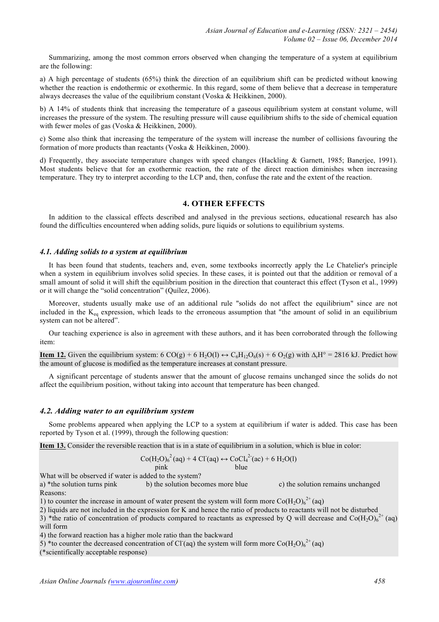Summarizing, among the most common errors observed when changing the temperature of a system at equilibrium are the following:

a) A high percentage of students (65%) think the direction of an equilibrium shift can be predicted without knowing whether the reaction is endothermic or exothermic. In this regard, some of them believe that a decrease in temperature always decreases the value of the equilibrium constant (Voska & Heikkinen, 2000).

b) A 14% of students think that increasing the temperature of a gaseous equilibrium system at constant volume, will increases the pressure of the system. The resulting pressure will cause equilibrium shifts to the side of chemical equation with fewer moles of gas (Voska & Heikkinen, 2000).

c) Some also think that increasing the temperature of the system will increase the number of collisions favouring the formation of more products than reactants (Voska & Heikkinen, 2000).

d) Frequently, they associate temperature changes with speed changes (Hackling & Garnett, 1985; Banerjee, 1991). Most students believe that for an exothermic reaction, the rate of the direct reaction diminishes when increasing temperature. They try to interpret according to the LCP and, then, confuse the rate and the extent of the reaction.

## **4. OTHER EFFECTS**

In addition to the classical effects described and analysed in the previous sections, educational research has also found the difficulties encountered when adding solids, pure liquids or solutions to equilibrium systems.

#### *4.1. Adding solids to a system at equilibrium*

It has been found that students, teachers and, even, some textbooks incorrectly apply the Le Chatelier's principle when a system in equilibrium involves solid species. In these cases, it is pointed out that the addition or removal of a small amount of solid it will shift the equilibrium position in the direction that counteract this effect (Tyson et al., 1999) or it will change the "solid concentration" (Quílez, 2006).

Moreover, students usually make use of an additional rule "solids do not affect the equilibrium" since are not included in the  $K_{eq}$  expression, which leads to the erroneous assumption that "the amount of solid in an equilibrium system can not be altered".

Our teaching experience is also in agreement with these authors, and it has been corroborated through the following item:

**Item 12.** Given the equilibrium system: 6 CO(g) + 6 H<sub>2</sub>O(l) ↔ C<sub>6</sub>H<sub>12</sub>O<sub>6</sub>(s) + 6 O<sub>2</sub>(g) with  $\Delta_f$ H° = 2816 kJ. Predict how the amount of glucose is modified as the temperature increases at constant pressure.

A significant percentage of students answer that the amount of glucose remains unchanged since the solids do not affect the equilibrium position, without taking into account that temperature has been changed.

## *4.2. Adding water to an equilibrium system*

Some problems appeared when applying the LCP to a system at equilibrium if water is added. This case has been reported by Tyson et al. (1999), through the following question:

**Item 13.** Consider the reversible reaction that is in a state of equilibrium in a solution, which is blue in color:

$$
Co(H2O)62 (aq) + 4 Cl'(aq) \leftrightarrow CoCl42 (ac) + 6 H2O(l)
$$
  
pink blue

What will be observed if water is added to the system?

a) \*the solution turns pink b) the solution becomes more blue c) the solution remains unchanged Reasons:

1) to counter the increase in amount of water present the system will form more  $\mathrm{Co(H_2O)_6}^{2+}$  (aq)

2) liquids are not included in the expression for K and hence the ratio of products to reactants will not be disturbed

3) \*the ratio of concentration of products compared to reactants as expressed by Q will decrease and  $Co(H_2O)_6^{2+}$  (aq) will form

4) the forward reaction has a higher mole ratio than the backward

5) \*to counter the decreased concentration of Cl (aq) the system will form more  $Co(H_2O)<sub>6</sub><sup>2+</sup>$  (aq)

(\*scientifically acceptable response)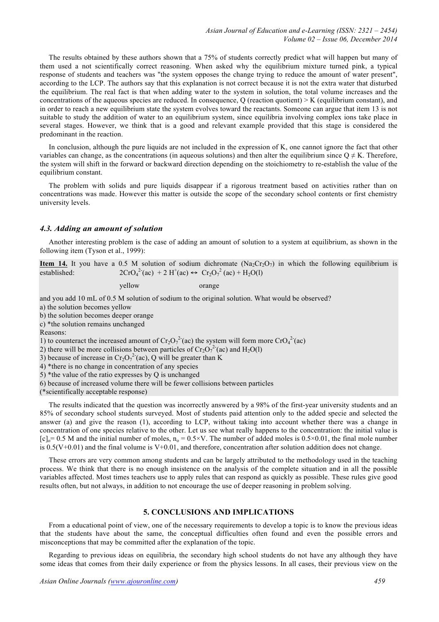The results obtained by these authors shown that a 75% of students correctly predict what will happen but many of them used a not scientifically correct reasoning. When asked why the equilibrium mixture turned pink, a typical response of students and teachers was "the system opposes the change trying to reduce the amount of water present", according to the LCP. The authors say that this explanation is not correct because it is not the extra water that disturbed the equilibrium. The real fact is that when adding water to the system in solution, the total volume increases and the concentrations of the aqueous species are reduced. In consequence,  $Q$  (reaction quotient)  $\geq K$  (equilibrium constant), and in order to reach a new equilibrium state the system evolves toward the reactants. Someone can argue that item 13 is not suitable to study the addition of water to an equilibrium system, since equilibria involving complex ions take place in several stages. However, we think that is a good and relevant example provided that this stage is considered the predominant in the reaction.

In conclusion, although the pure liquids are not included in the expression of K, one cannot ignore the fact that other variables can change, as the concentrations (in aqueous solutions) and then alter the equilibrium since  $Q \neq K$ . Therefore, the system will shift in the forward or backward direction depending on the stoichiometry to re-establish the value of the equilibrium constant.

The problem with solids and pure liquids disappear if a rigorous treatment based on activities rather than on concentrations was made. However this matter is outside the scope of the secondary school contents or first chemistry university levels.

## *4.3. Adding an amount of solution*

Another interesting problem is the case of adding an amount of solution to a system at equilibrium, as shown in the following item (Tyson et al., 1999):

**Item 14.** It you have a 0.5 M solution of sodium dichromate  $(Na_2Cr_2O_7)$  in which the following equilibrium is established: <sup>2</sup><sup>-</sup>(ac) + 2 H<sup>+</sup>(ac) ↔ Cr<sub>2</sub>O<sub>7</sub><sup>2</sup> (ac) + H<sub>2</sub>O(l)

yellow orange

and you add 10 mL of 0.5 M solution of sodium to the original solution. What would be observed?

a) the solution becomes yellow

b) the solution becomes deeper orange

c) \*the solution remains unchanged

Reasons:

1) to counteract the increased amount of  $Cr_2O_7^{2-}$  (ac) the system will form more  $Cr_2O_4^{2-}$  (ac)

2) there will be more collisions between particles of  $Cr_2O_7^{2}$  (ac) and H<sub>2</sub>O(l)

3) because of increase in  $Cr_2O_7^{2-}$  (ac), Q will be greater than K

4) \*there is no change in concentration of any species

5) \*the value of the ratio expresses by Q is unchanged

6) because of increased volume there will be fewer collisions between particles

(\*scientifically acceptable response)

The results indicated that the question was incorrectly answered by a 98% of the first-year university students and an 85% of secondary school students surveyed. Most of students paid attention only to the added specie and selected the answer (a) and give the reason (1), according to LCP, without taking into account whether there was a change in concentration of one species relative to the other. Let us see what really happens to the concentration: the initial value is  $[c]_o = 0.5$  M and the initial number of moles,  $n_o = 0.5 \times V$ . The number of added moles is  $0.5 \times 0.01$ , the final mole number is  $0.5(V+0.01)$  and the final volume is  $V+0.01$ , and therefore, concentration after solution addition does not change.

These errors are very common among students and can be largely attributed to the methodology used in the teaching process. We think that there is no enough insistence on the analysis of the complete situation and in all the possible variables affected. Most times teachers use to apply rules that can respond as quickly as possible. These rules give good results often, but not always, in addition to not encourage the use of deeper reasoning in problem solving.

### **5. CONCLUSIONS AND IMPLICATIONS**

From a educational point of view, one of the necessary requirements to develop a topic is to know the previous ideas that the students have about the same, the conceptual difficulties often found and even the possible errors and misconceptions that may be committed after the explanation of the topic.

Regarding to previous ideas on equilibria, the secondary high school students do not have any although they have some ideas that comes from their daily experience or from the physics lessons. In all cases, their previous view on the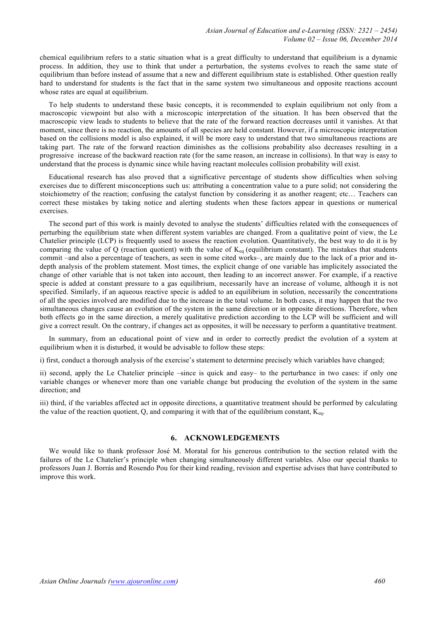chemical equilibrium refers to a static situation what is a great difficulty to understand that equilibrium is a dynamic process. In addition, they use to think that under a perturbation, the systems evolves to reach the same state of equilibrium than before instead of assume that a new and different equilibrium state is established. Other question really hard to understand for students is the fact that in the same system two simultaneous and opposite reactions account whose rates are equal at equilibrium.

To help students to understand these basic concepts, it is recommended to explain equilibrium not only from a macroscopic viewpoint but also with a microscopic interpretation of the situation. It has been observed that the macroscopic view leads to students to believe that the rate of the forward reaction decreases until it vanishes. At that moment, since there is no reaction, the amounts of all species are held constant. However, if a microscopic interpretation based on the collisions model is also explained, it will be more easy to understand that two simultaneous reactions are taking part. The rate of the forward reaction diminishes as the collisions probability also decreases resulting in a progressive increase of the backward reaction rate (for the same reason, an increase in collisions). In that way is easy to understand that the process is dynamic since while having reactant molecules collision probability will exist.

Educational research has also proved that a significative percentage of students show difficulties when solving exercises due to different misconceptions such us: attributing a concentration value to a pure solid; not considering the stoichiometry of the reaction; confusing the catalyst function by considering it as another reagent; etc… Teachers can correct these mistakes by taking notice and alerting students when these factors appear in questions or numerical exercises.

The second part of this work is mainly devoted to analyse the students' difficulties related with the consequences of perturbing the equilibrium state when different system variables are changed. From a qualitative point of view, the Le Chatelier principle (LCP) is frequently used to assess the reaction evolution. Quantitatively, the best way to do it is by comparing the value of Q (reaction quotient) with the value of  $K_{eq}$  (equilibrium constant). The mistakes that students commit –and also a percentage of teachers, as seen in some cited works–, are mainly due to the lack of a prior and indepth analysis of the problem statement. Most times, the explicit change of one variable has implicitely associated the change of other variable that is not taken into account, then leading to an incorrect answer. For example, if a reactive specie is added at constant pressure to a gas equilibrium, necessarily have an increase of volume, although it is not specified. Similarly, if an aqueous reactive specie is added to an equilibrium in solution, necessarily the concentrations of all the species involved are modified due to the increase in the total volume. In both cases, it may happen that the two simultaneous changes cause an evolution of the system in the same direction or in opposite directions. Therefore, when both effects go in the same direction, a merely qualitative prediction according to the LCP will be sufficient and will give a correct result. On the contrary, if changes act as opposites, it will be necessary to perform a quantitative treatment.

In summary, from an educational point of view and in order to correctly predict the evolution of a system at equilibrium when it is disturbed, it would be advisable to follow these steps:

i) first, conduct a thorough analysis of the exercise's statement to determine precisely which variables have changed;

ii) second, apply the Le Chatelier principle –since is quick and easy– to the perturbance in two cases: if only one variable changes or whenever more than one variable change but producing the evolution of the system in the same direction; and

iii) third, if the variables affected act in opposite directions, a quantitative treatment should be performed by calculating the value of the reaction quotient, Q, and comparing it with that of the equilibrium constant,  $K_{eq}$ .

## **6. ACKNOWLEDGEMENTS**

We would like to thank professor José M. Moratal for his generous contribution to the section related with the failures of the Le Chatelier's principle when changing simultaneously different variables. Also our special thanks to professors Juan J. Borrás and Rosendo Pou for their kind reading, revision and expertise advises that have contributed to improve this work.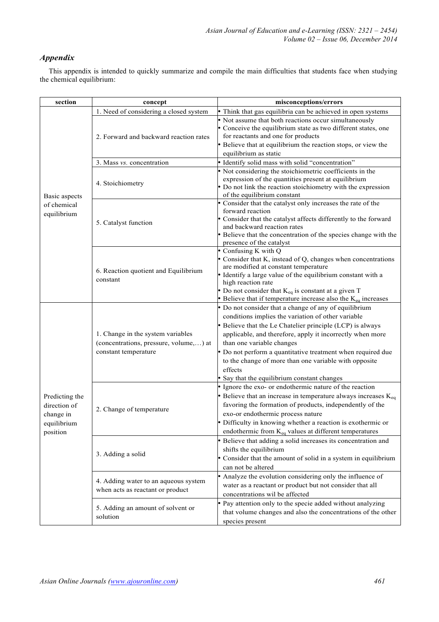## *Appendix*

This appendix is intended to quickly summarize and compile the main difficulties that students face when studying the chemical equilibrium:

| section                                                                | concept                                                                                             | misconceptions/errors                                                                                                                                                                                                                                                                                                                                                                                                                                |
|------------------------------------------------------------------------|-----------------------------------------------------------------------------------------------------|------------------------------------------------------------------------------------------------------------------------------------------------------------------------------------------------------------------------------------------------------------------------------------------------------------------------------------------------------------------------------------------------------------------------------------------------------|
| Basic aspects<br>of chemical<br>equilibrium                            | 1. Need of considering a closed system                                                              | • Think that gas equilibria can be achieved in open systems                                                                                                                                                                                                                                                                                                                                                                                          |
|                                                                        | 2. Forward and backward reaction rates                                                              | • Not assume that both reactions occur simultaneously<br>• Conceive the equilibrium state as two different states, one<br>for reactants and one for products<br>• Believe that at equilibrium the reaction stops, or view the<br>equilibrium as static                                                                                                                                                                                               |
|                                                                        | 3. Mass vs. concentration                                                                           | · Identify solid mass with solid "concentration"                                                                                                                                                                                                                                                                                                                                                                                                     |
|                                                                        | 4. Stoichiometry                                                                                    | • Not considering the stoichiometric coefficients in the<br>expression of the quantities present at equilibrium<br>• Do not link the reaction stoichiometry with the expression<br>of the equilibrium constant                                                                                                                                                                                                                                       |
|                                                                        | 5. Catalyst function                                                                                | • Consider that the catalyst only increases the rate of the<br>forward reaction<br>• Consider that the catalyst affects differently to the forward<br>and backward reaction rates<br>• Believe that the concentration of the species change with the<br>presence of the catalyst                                                                                                                                                                     |
|                                                                        | 6. Reaction quotient and Equilibrium<br>constant                                                    | • Confusing K with Q<br>• Consider that K, instead of Q, changes when concentrations<br>are modified at constant temperature<br>• Identify a large value of the equilibrium constant with a<br>high reaction rate<br>• Do not consider that $K_{eq}$ is constant at a given T<br>• Believe that if temperature increase also the $K_{eq}$ increases                                                                                                  |
| Predicting the<br>direction of<br>change in<br>equilibrium<br>position | 1. Change in the system variables<br>(concentrations, pressure, volume,) at<br>constant temperature | • Do not consider that a change of any of equilibrium<br>conditions implies the variation of other variable<br>• Believe that the Le Chatelier principle (LCP) is always<br>applicable, and therefore, apply it incorrectly when more<br>than one variable changes<br>• Do not perform a quantitative treatment when required due<br>to the change of more than one variable with opposite<br>effects<br>• Say that the equilibrium constant changes |
|                                                                        | 2. Change of temperature                                                                            | • Ignore the exo- or endothermic nature of the reaction<br>• Believe that an increase in temperature always increases $K_{eq}$<br>favoring the formation of products, independently of the<br>exo-or endothermic process nature<br>• Difficulty in knowing whether a reaction is exothermic or<br>endothermic from $K_{eq}$ values at different temperatures                                                                                         |
|                                                                        | 3. Adding a solid                                                                                   | • Believe that adding a solid increases its concentration and<br>shifts the equilibrium<br>• Consider that the amount of solid in a system in equilibrium<br>can not be altered                                                                                                                                                                                                                                                                      |
|                                                                        | 4. Adding water to an aqueous system<br>when acts as reactant or product                            | • Analyze the evolution considering only the influence of<br>water as a reactant or product but not consider that all<br>concentrations wil be affected                                                                                                                                                                                                                                                                                              |
|                                                                        | 5. Adding an amount of solvent or<br>solution                                                       | • Pay attention only to the specie added without analyzing<br>that volume changes and also the concentrations of the other<br>species present                                                                                                                                                                                                                                                                                                        |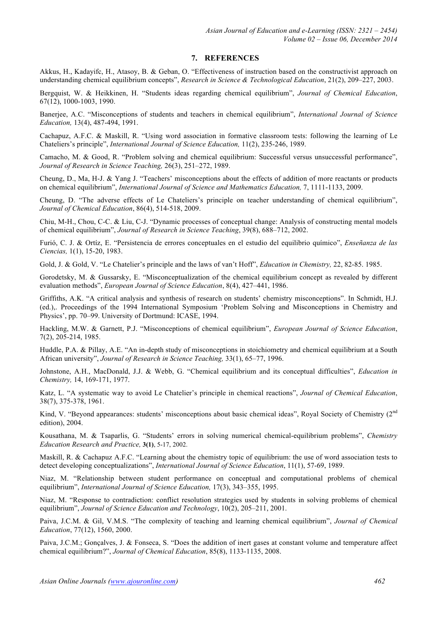## **7. REFERENCES**

Akkus, H., Kadayifc, H., Atasoy, B. & Geban, O. "Effectiveness of instruction based on the constructivist approach on understanding chemical equilibrium concepts", *Research in Science & Technological Education*, 21(2), 209–227, 2003.

Bergquist, W. & Heikkinen, H. "Students ideas regarding chemical equilibrium", *Journal of Chemical Education*, 67(12), 1000-1003, 1990.

Banerjee, A.C. "Misconceptions of students and teachers in chemical equilibrium", *International Journal of Science Education,* 13(4), 487-494, 1991.

Cachapuz, A.F.C. & Maskill, R. "Using word association in formative classroom tests: following the learning of Le Chateliers's principle", *International Journal of Science Education,* 11(2), 235-246, 1989.

Camacho, M. & Good, R. "Problem solving and chemical equilibrium: Successful versus unsuccessful performance", *Journal of Research in Science Teaching,* 26(3), 251–272, 1989.

Cheung, D., Ma, H-J. & Yang J. "Teachers' misconceptions about the effects of addition of more reactants or products on chemical equilibrium", *International Journal of Science and Mathematics Education,* 7, 1111-1133, 2009.

Cheung, D. "The adverse effects of Le Chateliers's principle on teacher understanding of chemical equilibrium", *Journal of Chemical Education*, 86(4), 514-518, 2009.

Chiu, M-H., Chou, C-C. & Liu, C-J. "Dynamic processes of conceptual change: Analysis of constructing mental models of chemical equilibrium", *Journal of Research in Science Teaching*, 39(8), 688–712, 2002.

Furió, C. J. & Ortíz, E. "Persistencia de errores conceptuales en el estudio del equilibrio químico", *Enseñanza de las Ciencias,* 1(1), 15-20, 1983.

Gold, J. & Gold, V. "Le Chatelier's principle and the laws of van't Hoff", *Education in Chemistry,* 22, 82-85. 1985.

Gorodetsky, M. & Gussarsky, E. "Misconceptualization of the chemical equilibrium concept as revealed by different evaluation methods", *European Journal of Science Education*, 8(4), 427–441, 1986.

Griffiths, A.K. "A critical analysis and synthesis of research on students' chemistry misconceptions". In Schmidt, H.J. (ed.),. Proceedings of the 1994 International Symposium 'Problem Solving and Misconceptions in Chemistry and Physics', pp. 70–99. University of Dortmund: ICASE, 1994.

Hackling, M.W. & Garnett, P.J. "Misconceptions of chemical equilibrium", *European Journal of Science Education*, 7(2), 205-214, 1985.

Huddle, P.A. & Pillay, A.E. "An in-depth study of misconceptions in stoichiometry and chemical equilibrium at a South African university", *Journal of Research in Science Teaching,* 33(1), 65–77, 1996.

Johnstone, A.H., MacDonald, J.J. & Webb, G. "Chemical equilibrium and its conceptual difficulties", *Education in Chemistry,* 14, 169-171, 1977.

Katz, L. "A systematic way to avoid Le Chatelier's principle in chemical reactions", *Journal of Chemical Education*, 38(7), 375-378, 1961.

Kind, V. "Beyond appearances: students' misconceptions about basic chemical ideas", Royal Society of Chemistry (2<sup>nd</sup>) edition), 2004.

Kousathana, M. & Tsaparlis, G. "Students' errors in solving numerical chemical-equilibrium problems", *Chemistry Education Research and Practice,* **3(1)**, 5-17, 2002.

Maskill, R. & Cachapuz A.F.C. "Learning about the chemistry topic of equilibrium: the use of word association tests to detect developing conceptualizations", *International Journal of Science Education*, 11(1), 57-69, 1989.

Niaz, M. "Relationship between student performance on conceptual and computational problems of chemical equilibrium", *International Journal of Science Education,* 17(3), 343–355, 1995.

Niaz, M. "Response to contradiction: conflict resolution strategies used by students in solving problems of chemical equilibrium", *Journal of Science Education and Technology*, 10(2), 205–211, 2001.

Paiva, J.C.M. & Gil, V.M.S. "The complexity of teaching and learning chemical equilibrium", *Journal of Chemical Education*, 77(12), 1560, 2000.

Paiva, J.C.M.; Gonçalves, J. & Fonseca, S. "Does the addition of inert gases at constant volume and temperature affect chemical equilibrium?", *Journal of Chemical Education*, 85(8), 1133-1135, 2008.